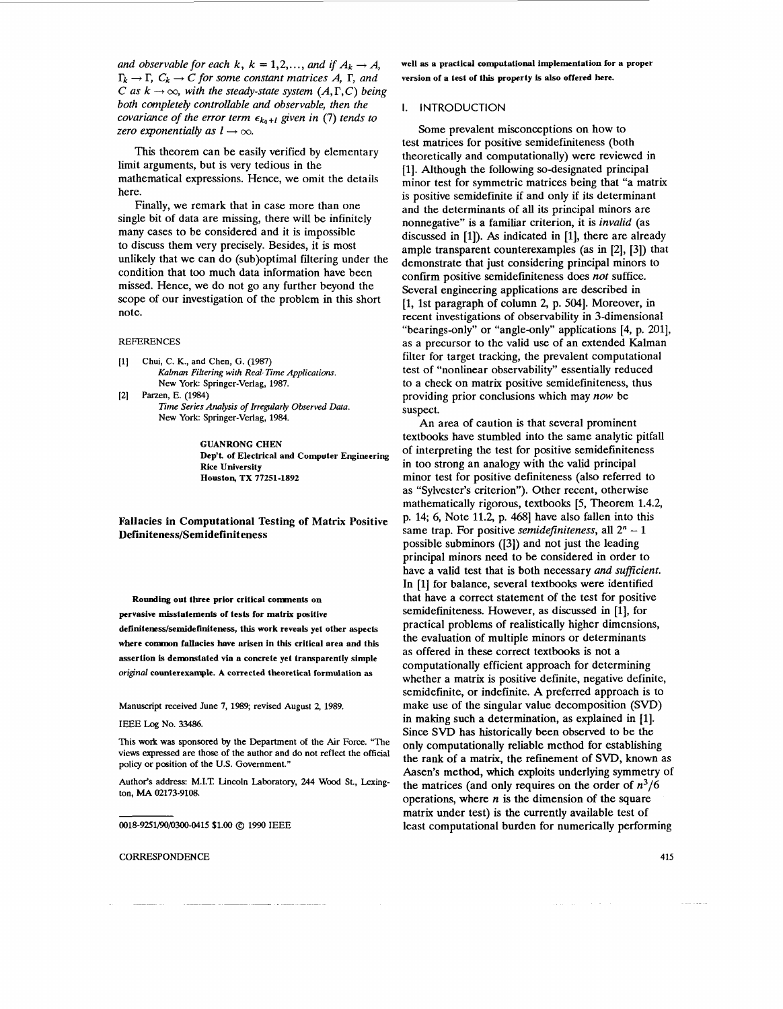*and observable for each k, k = 1,2,..., and if*  $A_k \rightarrow A$ *.*  $\Gamma_k \to \Gamma$ ,  $C_k \to C$  for some constant matrices A,  $\Gamma$ , and *C* as  $k \rightarrow \infty$ , *with the steady-state system (A, T, <i>C***)** being both completely controllable and observable, then the *covariance of the error term*  $\epsilon_{k_0+1}$  given in (7) *tends to zero exponentially as*  $l \rightarrow \infty$ *.* 

This theorem can be easily verified by elementary limit arguments, but is very tedious in the mathematical expressions. Hence, we omit the details here.

Finally, we remark that in case more than one single bit of data are missing, there will be infinitely many cases to be considered and it is impossible to discuss them very precisely. Besides, it is most unlikely that we can do (sub)optimal filtering under the condition that too much data information have been missed. Hence, we do not go any further beyond the scope of our investigation of the problem in this short note.

# REFERENCES

- **[l]** Chui, C. K., and Chen, G. **(1987)**  *Kalman Fikering with Real- Time Applicafions.*  New **York:** Springer-Vedag, **1987.**
- *Time Series Analysis of Irregularly Observed Data.*  New **York:** Springer-Verlag, **1984.**  [2] Parzen, E. **(1984)**

**GUANRONG CHEN Dep't. of Electrical and Computer Engineering Rice University Houston, TX 77251-1892** 

Fallacies in Computational Testing *of* Matrix Positive Definiteness/Semidefiniteness

**Rounding out three prior critical comnents on** 

**pervasive misstatements of tests for matrix positive**  definiteness/semidefiniteness, this work reveals yet other aspects **where common fallacies have arisen in this critical area and this assertion is demonstated via a concrete yet transparently simple**  *original* **counterexample. A corrected theoretical formulation as** 

#### Manuscript received June **7, 1989;** revised August **2, 1989.**

## **IEEE** Log **No. 33486.**

This work was sponsored **by** the Department of the Air Force. "The views expressed are those of the author and do not reflect the official policy or position of the U.S. Government."

Author's address: M.I.T. Lincoln Laboratory, 244 Wood St., Lexington, **MA 02173-9108.** 

**0018-9251/90/0300-0415 \$1.00** @ 1990 **IEEE** 

#### **CORRESPONDENCE**

**well as a practical computational implementation for a proper version of a test of this property is also offered here.** 

#### I. INTRODUCTION

Some prevalent misconceptions on how to test matrices for positive semidefiniteness (both theoretically and computationally) were reviewed in [1]. Although the following so-designated principal minor test for symmetric matrices being that "a matrix is positive semidefinite if and only if its determinant and the determinants of all its principal minors are nonnegative" is a familiar criterion, it is *invalid* (as discussed in [l]). *As* indicated in [l], there are already ample transparent counterexamples (as in [2], [3]) that demonstrate that just considering principal minors to confirm positive semidefiniteness does *not* suffice. Several engineering applications are described in [l, 1st paragraph of column 2, p. 5041. Moreover, in recent investigations of observability in 3-dimensional "bearings-only" or "angle-only" applications [4, p. 2011, as a precursor to the valid use of an extended Kalman filter for target tracking, the prevalent computational test of "nonlinear observability" essentially reduced to a check on matrix positive semidefiniteness, thus providing prior conclusions which may *now* be suspect.

An area of caution is that several prominent textbooks have stumbled into the same analytic pitfall of interpreting the test for positive semidefiniteness in too strong an analogy with the valid principal minor test for positive definiteness (also referred to as "Sylvester's criterion"). Other recent, otherwise mathematically rigorous, textbooks [5, Theorem 1.4.2, p. 14; 6, Note 11.2, p. 468] have also fallen into this same trap. For positive *semidefiniteness*, all  $2<sup>n</sup> - 1$ possible subminors ([3]) and not just the leading principal minors need to be considered in order to have a valid test that is both necessary *and sufficient*. In [l] for balance, several textbooks were identified that have a correct statement of the test for positive semidefiniteness. However, as discussed in [l], for practical problems of realistically higher dimensions, the evaluation of multiple minors or determinants as offered in these correct textbooks is not a computationally efficient approach for determining whether a matrix is positive definite, negative definite, semidefinite, or indefinite. A preferred approach is to make use of the singular value decomposition **(SVD)**  in making such a determination, as explained in [l]. Since **SVD** has historically been observed to be the only computationally reliable method for establishing the rank of a matrix, the refinement of **SVD,** known as Aasen's method, which exploits underlying symmetry of the matrices (and only requires on the order of  $n^3/6$ operations, where *n* is the dimension of the square matrix under test) is the currently available test of least computational burden for numerically performing

**415**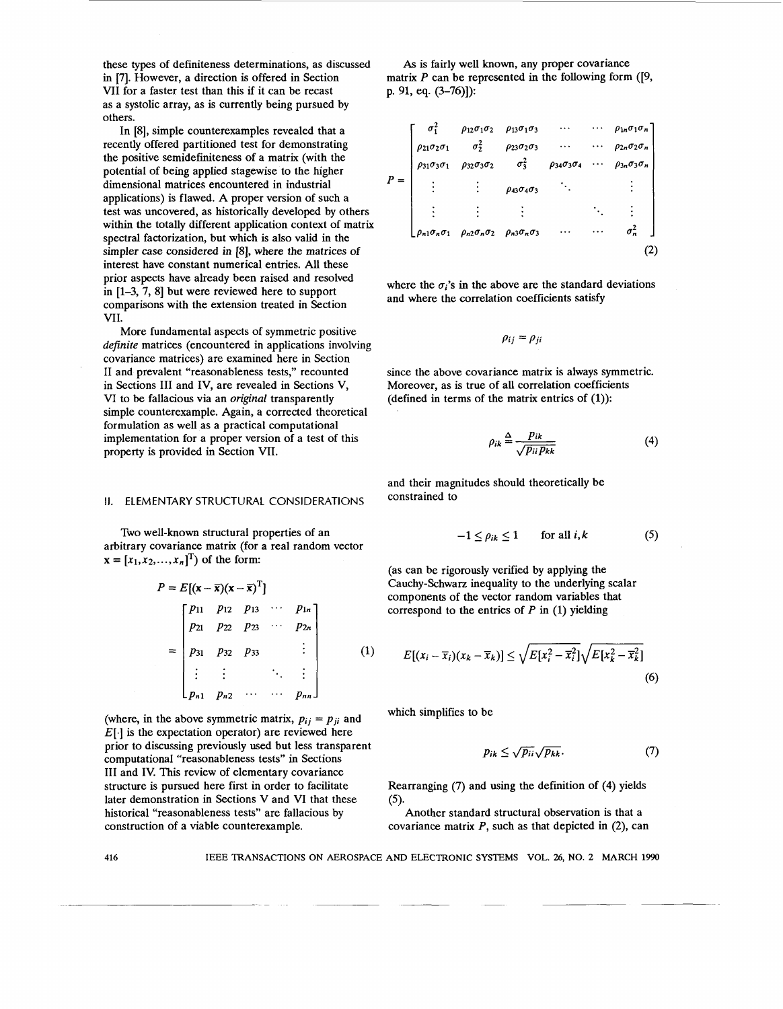these types of definiteness determinations, as discussed in **171.** However, a direction is offered in Section VI1 for a faster test than this if it can be recast as a systolic array, as is currently being pursued by others.

In *[SI,* simple counterexamples revealed that a recently offered partitioned test for demonstrating the positive semidefiniteness of a matrix (with the potential of being applied stagewise to the higher dimensional matrices encountered in industrial applications) is flawed. A proper version of such a test was uncovered, as historically developed by others within the totally different application context of matrix spectral factorization, but which is also valid in the simpler case considered in [8], where the matrices of interest have constant numerical entries. All these prior aspects have already been raised and resolved in **[l-3,** 7, *81* but were reviewed here to support comparisons with the extension treated in Section VII.

More fundamental aspects of symmetric positive *definite* matrices (encountered in applications involving covariance matrices) are examined here in Section I1 and prevalent "reasonableness tests," recounted in Sections I11 and IV, are revealed in Sections V, VI to **be** fallacious via an *original* transparently simple counterexample. Again, a corrected theoretical formulation as well as a practical computational implementation for a proper version of a test of this property is provided in Section VII.

#### **11.** ELEMENTARY STRUCTURAL CONSIDERATIONS

Two well-known structural properties of an arbitrary covariance matrix (for a real random vector  $x = [x_1, x_2, ..., x_n]^T$  of the form:

$$
P = E[(\mathbf{x} - \overline{\mathbf{x}})(\mathbf{x} - \overline{\mathbf{x}})^{T}]
$$
  
= 
$$
\begin{bmatrix} p_{11} & p_{12} & p_{13} & \cdots & p_{1n} \\ p_{21} & p_{22} & p_{23} & \cdots & p_{2n} \\ p_{31} & p_{32} & p_{33} & \vdots \\ \vdots & \vdots & \ddots & \vdots \\ p_{n1} & p_{n2} & \cdots & \cdots & p_{nn} \end{bmatrix}
$$
 (1)

(where, in the above symmetric matrix,  $p_{ij} = p_{ji}$  and  $E[\cdot]$  is the expectation operator) are reviewed here prior to discussing previously used but less transparent computational "reasonableness tests" in Sections I11 and IV. This review of elementary covariance structure is pursued here first in order to facilitate later demonstration in Sections V and VI that these historical "reasonableness tests" are fallacious by construction of a viable counterexample.

*As* is fairly well known, any proper covariance matrix P can be represented in the following form ([9, p. 91, eq. **(3-76)]):** 

|  |                             | $\sigma_1^2$ $\rho_{12}\sigma_1\sigma_2$ $\rho_{13}\sigma_1\sigma_3$                           |                                          | $\cdots$ | $\cdots$ $\rho_{1n}\sigma_1\sigma_n$ |  |
|--|-----------------------------|------------------------------------------------------------------------------------------------|------------------------------------------|----------|--------------------------------------|--|
|  | $\rho_{21}\sigma_2\sigma_1$ | $\sigma_2^2$                                                                                   | $\rho_{23}\sigma_2\sigma_3$              | $\cdots$ | $\rho_{2n}\sigma_2\sigma_n$          |  |
|  | $\rho_{31}\sigma_3\sigma_1$ | $\rho_{32}\sigma_3\sigma_2$                                                                    | $\sigma_3^2$ $\rho_{34}\sigma_3\sigma_4$ |          | $\rho_{3n}\sigma_3\sigma_n$          |  |
|  |                             |                                                                                                | $\rho_{43}\sigma_4\sigma_3$              |          |                                      |  |
|  |                             |                                                                                                |                                          |          |                                      |  |
|  |                             | $\int \rho_{n1} \sigma_n \sigma_1$ $\rho_{n2} \sigma_n \sigma_2$ $\rho_{n3} \sigma_n \sigma_3$ |                                          |          | $\sigma_n^2$                         |  |
|  |                             |                                                                                                |                                          |          |                                      |  |

where the  $\sigma_i$ 's in the above are the standard deviations and where the correlation coefficients satisfy

 $\rho_{ij} = \rho_{ji}$ 

since the above covariance matrix is always symmetric. Moreover, as is true of all correlation coefficients (defined in terms of the matrix entries of (1)):

$$
\rho_{ik} \stackrel{\Delta}{=} \frac{p_{ik}}{\sqrt{p_{ii} p_{kk}}} \tag{4}
$$

and their magnitudes should theoretically be constrained to

$$
-1 \le \rho_{ik} \le 1 \qquad \text{for all } i,k \tag{5}
$$

(as can be rigorously verified by applying the Cauchy-Schwarz inequality to the underlying scalar components of the vector random variables that correspond to the entries of *P* in (1) yielding

$$
E[(x_i-\overline{x}_i)(x_k-\overline{x}_k)] \leq \sqrt{E[x_i^2-\overline{x}_i^2]}\sqrt{E[x_k^2-\overline{x}_k^2]}
$$
\n(6)

which simplifies to be

$$
p_{ik} \leq \sqrt{p_{ii}} \sqrt{p_{kk}}. \tag{7}
$$

Rearranging **(7)** and using the definition of (4) yields Another standard structural observation is that a *(5).* 

covariance matrix *P,* such as that depicted in (2), can

**416** IEEE TRANSACTIONS ON AEROSPACE AND ELECTRONIC **SYSTEMS** VOL. 26, NO. 2 MARCH **1990**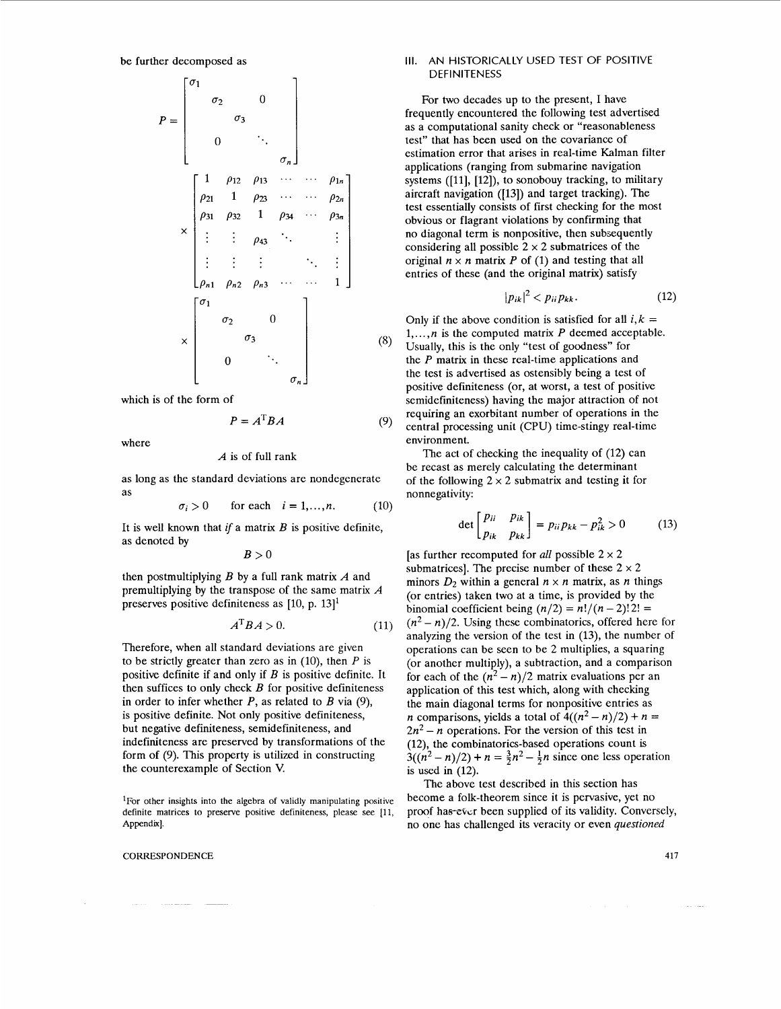$$
P = \begin{bmatrix} \sigma_1 & & & & & \\ & \sigma_2 & & 0 & \\ & & \sigma_3 & & \\ & & & \ddots & \\ & & & & \sigma_n \end{bmatrix}
$$
  
\n
$$
\begin{bmatrix} 1 & \rho_{12} & \rho_{13} & \cdots & \cdots & \rho_{1n} \\ \rho_{21} & 1 & \rho_{23} & \cdots & \cdots & \rho_{2n} \\ \rho_{31} & \rho_{32} & 1 & \rho_{34} & \cdots & \rho_{3n} \\ \vdots & \vdots & \vdots & & \ddots & \vdots \\ \rho_{n1} & \rho_{n2} & \rho_{n3} & \cdots & \cdots & 1 \end{bmatrix}
$$
  
\n
$$
\times \begin{bmatrix} \sigma_1 & & & & \\ & \sigma_2 & & 0 & \\ & & \sigma_3 & & \\ & & & & \sigma_n \end{bmatrix}
$$

which is of the form of

$$
A^{\mathrm{T}}BA \tag{9}
$$

 $(8)$ 

where

#### $A$  is of full rank

as long as the standard deviations are nondegenerate as nonnegativity:

 $\mathbf{p}$   $\mathbf{p}$ 

$$
\sigma_i > 0 \qquad \text{for each} \quad i = 1, \dots, n. \tag{10}
$$

It is well known that if a matrix  $B$  is positive definite, das denoted by

then postmultiplying *B* by a full rank matrix *A* and premultiplying by the transpose of the same matrix *A*  preserves positive definiteness as  $[10, p. 13]$ <sup>1</sup>

$$
A^{\mathrm{T}}BA > 0. \tag{11}
$$

Therefore, when all standard deviations are given to be strictly greater than zero as in  $(10)$ , then *P* is positive definite if and only if *B* is positive definite. It then suffices to only check *B* for positive definiteness in order to infer whether *P,* as related to *B* via (9), is positive definite. Not only positive definiteness, but negative definiteness, semidefiniteness, and indefiniteness are preserved by transformations of the form of (9). This property is utilized in constructing the counterexample of Section V.

'For **other insights into the algebra of validly manipulating positive**  definite matrices to preserve positive definiteness, please see [11, **Appendix].** 

#### CORRESPONDENCE **417**

## **Ill.** AN HISTORICALLY USED TEST OF POSITIVE **DEFINITENESS**

For two decades up to the present, I have frequently encountered the following test advertised as a computational sanity check or "reasonableness test" that has been used on the covariance of estimation error that arises in real-time Kalman filter applications (ranging from submarine navigation systems ([11], [12]), to sonobouy tracking, to military aircraft navigation ([13]) and target tracking). The test essentially consists of first checking for the most obvious or flagrant violations by confirming that no diagonal term is nonpositive, then subsequently considering all possible  $2 \times 2$  submatrices of the original  $n \times n$  matrix P of (1) and testing that all entries of these (and the original matrix) satisfy

$$
|p_{ik}|^2 < p_{ii} p_{kk}.\tag{12}
$$

Only if the above condition is satisfied for all  $i, k =$ 1,. . . , *n* is the computed matrix *P* deemed acceptable. Usually, this is the only "test of goodness" for the *P* matrix in these real-time applications and the test is advertised as ostensibly being a test of positive definiteness (or, at worst, a test of positive semidefiniteness) having the major attraction of not requiring an exorbitant number of operations in the central processing unit (CPU) time-stingy real-time environment.

The act of checking the inequality of (12) can be recast as merely calculating the determinant of the following  $2 \times 2$  submatrix and testing it for

$$
\text{let}\begin{bmatrix} p_{ii} & p_{ik} \\ p_{ik} & p_{kk} \end{bmatrix} = p_{ii}p_{kk} - p_{ik}^2 > 0 \quad (13)
$$

 $B > 0$  **as further recomputed for** *all* possible  $2 \times 2$ submatrices]. The precise number of these  $2 \times 2$ minors  $D_2$  within a general  $n \times n$  matrix, as *n* things (or entries) taken two at a time, is provided by the binomial coefficient being  $(n/2) = n!/(n-2)!2! =$  $(n^2 - n)/2$ . Using these combinatorics, offered here for analyzing the version of the test in (13), the number of operations can be seen to be 2 multiplies, a squaring (or another multiply), a subtraction, and a comparison for each of the  $(n^2 - n)/2$  matrix evaluations per an application of this test which, along with checking the main diagonal terms for nonpositive entries as *n* comparisons, yields a total of  $4((n^2 - n)/2) + n =$  $2n^2 - n$  operations. For the version of this test in (12), the combinatorics-based operations count **is**   $3((n^2 - n)/2) + n = \frac{3}{2}n^2 - \frac{1}{2}n$  since one less operation is used in  $(12)$ .

> The above test described in this section has become a folk-theorem since it is pervasive, yet no proof has-ever been supplied of its validity. Conversely, no one has challenged its veracity or even *questioned*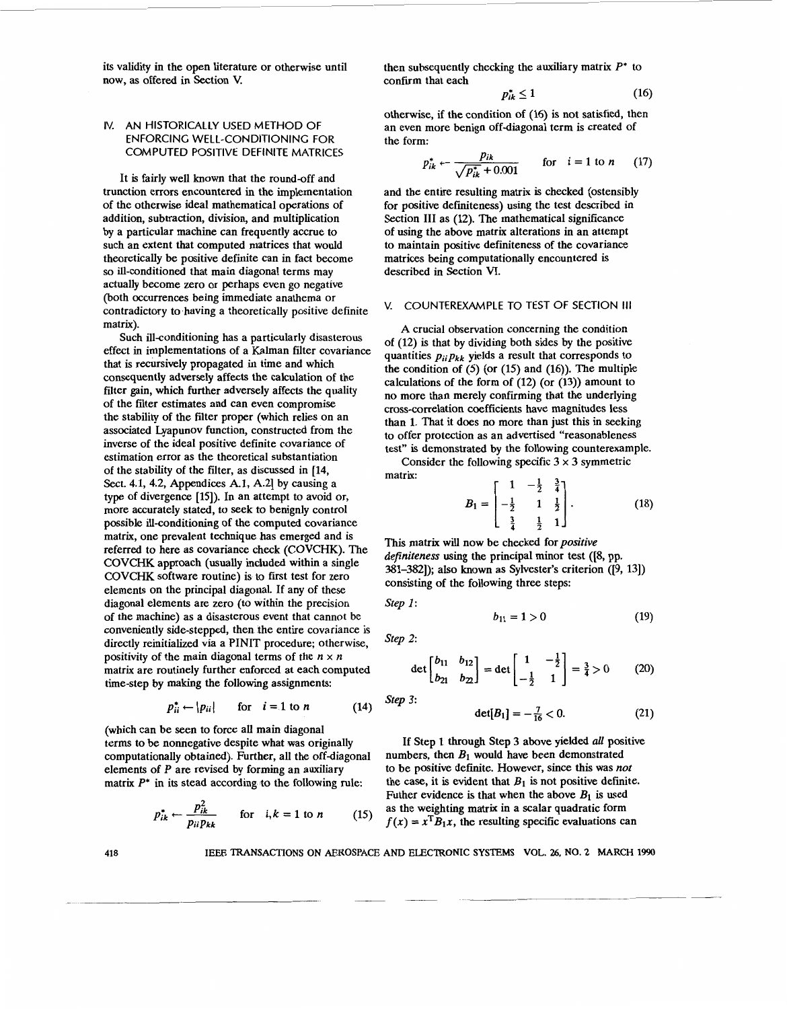its validity in the open literature or otherwise until now, **as** offered in Section **V.** 

then subsequently checking the auxiliary matrix 
$$
P^*
$$
 to confirm that each

$$
p_{ik}^* \le 1 \tag{16}
$$

**IV. AN HISTORICALLY USED METHOD OF COMPUTED POSITIVE DEFINITE MATRICES ENFORCING WELL-CONDITIONING FOR** 

It **is** fairly well known that the round-off and trunction errors encountered in the implementation of the otherwise ideal mathematical operations of addition, subtraction, division, and multiplication by a particular machine can frequently accrue to such an extent that computed matrices that would theoretically be positive definite can in fact become so ill-conditioned that main diagonal terms may actually become zero or perhaps even go negative (both Occurrences being immediate anathema or contradictory to having a theoretically positive definite matrix).

Such ill-conditioning has a particularly disasterous effect in implementations of a Kalman filter covariance that is recursively propagated in time and which consequently adversely affects the calculation of the filter gain, which further adversely affects the quality of the filter estimates and can even compromise the stability of the filter proper (which relies on an associated Lyapunov function, constructed from the inverse of the ideal positive definite covariance of estimation error as the theoretical substantiation of the stability of the filter, as discussed in **[14,**  Sect. **4.1, 4.2,** Appendices **A.l, A.21** by causing a type of divergence **[15]).** In an attempt to avoid or, more accurately stated, to seek **to** benignly control possible ill-conditioning of the computed covariance matrix, one prevalent technique has emerged and is referred to here as covariance check (COVCHK). The COVCHK approach (usually included within a single COVCHK software routine) is to first test for zero elements on the principal diagonal. If any of these diagonal elements are zero (to within the precision of the machine) as a disasterous event that cannot be conveniently side-stepped, then the entire covariance is directly reinitialized via a PINIT procedure; otherwise, positivity of the main diagonal terms of the  $n \times n$ matrix are routinely further enforced at each computed time-step by making the following assignments:

$$
p_{ii}^* \leftarrow |p_{ii}| \quad \text{for} \quad i = 1 \text{ to } n \tag{14}
$$

(which can be seen to force all main diagonal terms to be nonnegative despite what was originally computationally obtained). Further, all the off-diagonal elements of *P* are revised by forming an auxiliary matrix *P\** in its stead according to the following rule: be nonnegative despite what was originally<br>onally obtained). Further, all the off-diagonal<br>of P are revised by forming an auxiliary<br>in its stead according to the following rule:<br> $p_{ik}^* \leftarrow \frac{p_{ik}^2}{p_{ii}p_{kk}}$  for  $i, k = 1$ 

$$
p_{ik}^* \leftarrow \frac{p_{ik}^2}{p_{ii}p_{kk}} \qquad \text{for} \quad i, k = 1 \text{ to } n \tag{15}
$$

 $P_{ik}^* \le 1$  (16) otherwise, if the condition of **(16)** is not satisfied, then

the form:  

$$
p_{ik}^* \leftarrow \frac{p_{ik}}{\sqrt{p_{ik}^* + 0.001}} \quad \text{for} \quad i = 1 \text{ to } n \quad (17)
$$

and the entire resulting matrix is checked (ostensibly for positive definiteness) using the test described in Section III as (12). The mathematical significance of using the above matrix alterations in an attempt to maintain positive definiteness of the covariance matrices being computationally encountered is described in Section VI.

an even more benign off-diagonal term is created of

# **V. COUNTEREXAMPLE TO TEST OF SECTION Ill**

**A** crucial observation concerning the condition of **(12)** is that by dividing both sides by the positive quantities  $p_{ii}p_{kk}$  yields a result that corresponds to the condition of (5) (or **(15)** and **(16)).** The multiple calculations of the form of **(12)** (or **(13))** amount to no more than merely confirming that the underlying cross-correlation coefficients have magnitudes less than **1.** That it does no more than just this in seeking to offer protection as an advertised "reasonableness test" is demonstrated by the following counterexample.

Consider the following specific  $3 \times 3$  symmetric matrix:

matrix:  

$$
B_1 = \begin{bmatrix} 1 & -\frac{1}{2} & \frac{3}{4} \\ -\frac{1}{2} & 1 & \frac{1}{2} \\ \frac{3}{4} & \frac{1}{2} & 1 \end{bmatrix}.
$$
(18)

This matrix will now be checked for positive definiteness using the principal minor test **([S,** pp. **381-3821);** also known as Sylvester's criterion **([9, 131)**  consisting of the following three steps:

Step *1* :

$$
b_{11} = 1 > 0 \tag{19}
$$

Step 2:

Step 3:

$$
\det \begin{bmatrix} b_{11} & b_{12} \\ b_{21} & b_{22} \end{bmatrix} = \det \begin{bmatrix} 1 & -\frac{1}{2} \\ -\frac{1}{2} & 1 \end{bmatrix} = \frac{3}{4} > 0 \tag{20}
$$

$$
\det[B_1] = -\frac{7}{16} < 0. \tag{21}
$$

If Step 1 through Step 3 above yielded *all* positive numbers, then *B1* would have been demonstrated to be positive definite. However, since this was not the case, it is evident that  $B_1$  is not positive definite. Futher evidence is that when the above  $B_1$  is used as the weighting matrix in a scalar quadratic form  $f(x) = x^T B_1 x$ , the resulting specific evaluations can

**418** 

IEEE TRANSACTIONS ON AEROSPACE AND ELECTRONIC **SYSTEMS** VOL. 26, NO. *2* **MARCH 1990**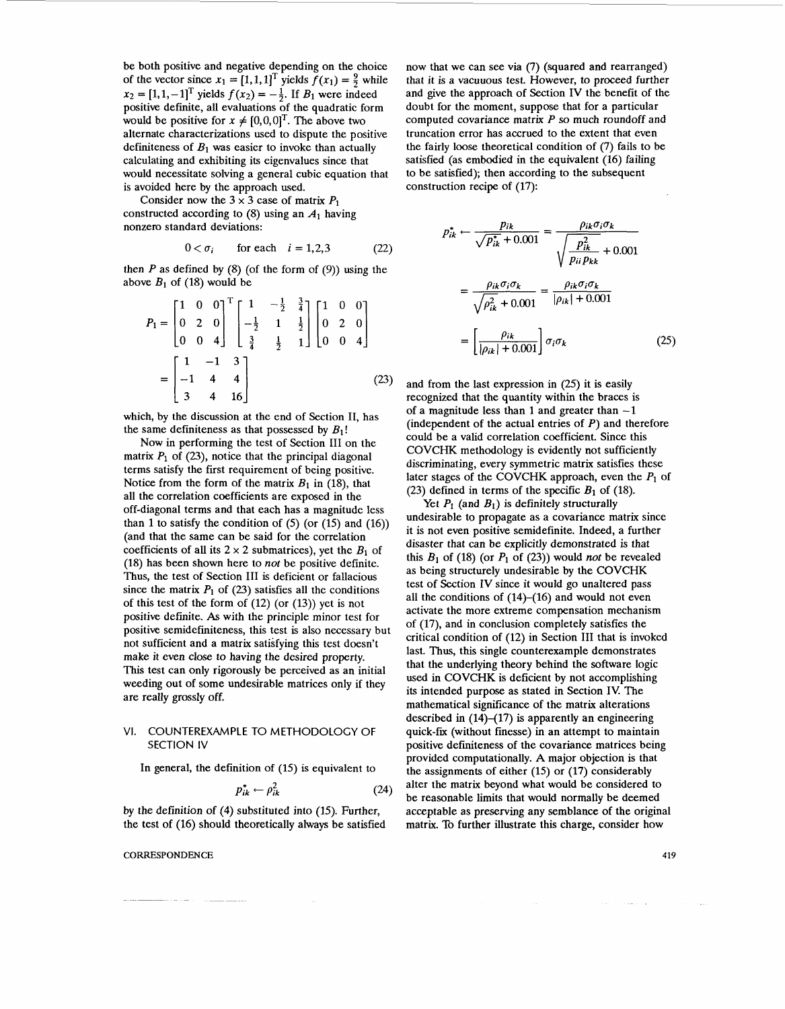be both positive and negative depending on the choice of the vector since  $x_1 = [1, 1, 1]^T$  yields  $f(x_1) = \frac{9}{2}$  while  $x_2 = [1, 1, -1]^T$  yields  $f(x_2) = -\frac{1}{2}$ . If *B<sub>1</sub>* were indeed positive definite, all evaluations of the quadratic form would be positive for  $x \neq [0,0,0]^T$ . The above two alternate characterizations used to dispute the positive definiteness of *B1* **was** easier to invoke than actually calculating and exhibiting its eigenvalues since that would necessitate solving a general cubic equation that is avoided here by the approach used.

Consider now the  $3 \times 3$  case of matrix  $P_1$ constructed according to  $(8)$  using an  $A_1$  having nonzero standard deviations:

$$
0 < \sigma_i \qquad \text{for each} \quad i = 1, 2, 3 \tag{22}
$$

then  $P$  as defined by  $(8)$  (of the form of  $(9)$ ) using the above  $B_1$  of (18) would be

$$
P_1 = \begin{bmatrix} 1 & 0 & 0 \\ 0 & 2 & 0 \\ 0 & 0 & 4 \end{bmatrix}^T \begin{bmatrix} 1 & -\frac{1}{2} & \frac{3}{4} \\ -\frac{1}{2} & 1 & \frac{1}{2} \\ \frac{3}{4} & \frac{1}{2} & 1 \end{bmatrix} \begin{bmatrix} 1 & 0 & 0 \\ 0 & 2 & 0 \\ 0 & 0 & 4 \end{bmatrix}
$$

$$
= \begin{bmatrix} 1 & -1 & 3 \\ -1 & 4 & 4 \\ 3 & 4 & 16 \end{bmatrix}
$$
(23)

which, by the discussion at the end of Section 11, has the same definiteness as that possessed by  $B_1!$ 

Now in performing the test of Section I11 on the matrix  $P_1$  of (23), notice that the principal diagonal terms satisfy the first requirement of being positive. Notice from the form of the matrix  $B_1$  in (18), that all the correlation coefficients are exposed in the off-diagonal terms and that each has a magnitude less than 1 to satisfy the condition of *(5)* (or (15) and (16)) (and that the same can be said for the correlation coefficients of all its  $2 \times 2$  submatrices), yet the  $B_1$  of (18) has been shown here to not be positive definite. Thus, the test of Section III is deficient or fallacious since the matrix  $P_1$  of (23) satisfies all the conditions of this test of the form of (12) (or (13)) yet is not positive definite. As with the principle minor test for positive semidefiniteness, this test is also necessary but not sufficient and a matrix satisfying this test doesn't make it even close to having the desired property. This test can only rigorously be perceived as an initial weeding out of some undesirable matrices only if they are really grossly off.

# VI. COUNTEREXAMPLE TO METHODOLOGY OF SECTION IV

In general, the definition of **(15)** is equivalent to

$$
p_{ik}^* \leftarrow \rho_{ik}^2 \tag{24}
$$

by the definition of **(4)** substituted into (15). Further, the test of (16) should theoretically always be satisfied

**CORRESPONDENCE** *419* 

now that we can see via (7) (squared and rearranged) that it is a vacuuous test. However, to proceed further and give the approach of Section IV the benefit of the doubt for the moment, suppose that for a particular computed covariance matrix *P* so much roundoff and truncation error has accrued to the extent that even the fairly loose theoretical condition of (7) fails to be satisfied (as embodied in the equivalent (16) failing to be satisfied); then according to the subsequent construction recipe of (17):

$$
p_{ik}^* \leftarrow \frac{p_{ik}}{\sqrt{p_{ik}^* + 0.001}} = \frac{\rho_{ik}\sigma_i\sigma_k}{\sqrt{\frac{p_{ik}^2}{p_{ii}p_{kk}}} + 0.001}
$$

$$
= \frac{\rho_{ik}\sigma_i\sigma_k}{\sqrt{\rho_{ik}^2 + 0.001}} = \frac{\rho_{ik}\sigma_i\sigma_k}{|\rho_{ik}| + 0.001}
$$

$$
= \left[\frac{\rho_{ik}}{|\rho_{ik}| + 0.001}\right] \sigma_i\sigma_k \tag{25}
$$

and from the last expression in *(25)* it is easily recognized that the quantity within the braces is of a magnitude less than 1 and greater than  $-1$ (independent of the actual entries of  $P$ ) and therefore could be a valid correlation coefficient. Since this COVCHK methodology is evidently not sufficiently discriminating, every symmetric matrix satisfies these later stages of the COVCHK approach, even the  $P_1$  of (23) defined in terms of the specific  $B_1$  of (18).

Yet  $P_1$  (and  $B_1$ ) is definitely structurally undesirable to propagate as a covariance matrix since it is not even positive semidefinite. Indeed, a further disaster that can be explicitly demonstrated is that this  $B_1$  of (18) (or  $P_1$  of (23)) would not be revealed as being structurely undesirable by the COVCHK test of Section IV since it would go unaltered pass all the conditions of  $(14)$ - $(16)$  and would not even activate the more extreme compensation mechanism of (17), and in conclusion completely satisfies the critical condition of (12) in Section I11 that is invoked last. **Thus,** this single counterexample demonstrates that the underlying theory behind the software logic used in COVCHK is deficient by not accomplishing its intended purpose as stated in Section IV The mathematical significance of the matrix alterations described in  $(14)$ – $(17)$  is apparently an engineering quick-fix (without finesse) in an attempt to maintain positive definiteness of the covariance matrices being provided computationally. A major objection is that the assignments of either (15) or (17) considerably alter the matrix beyond what would be considered to be reasonable limits that would normally be deemed acceptable **as** preserving any semblance of the original matrix. To further illustrate this charge, consider how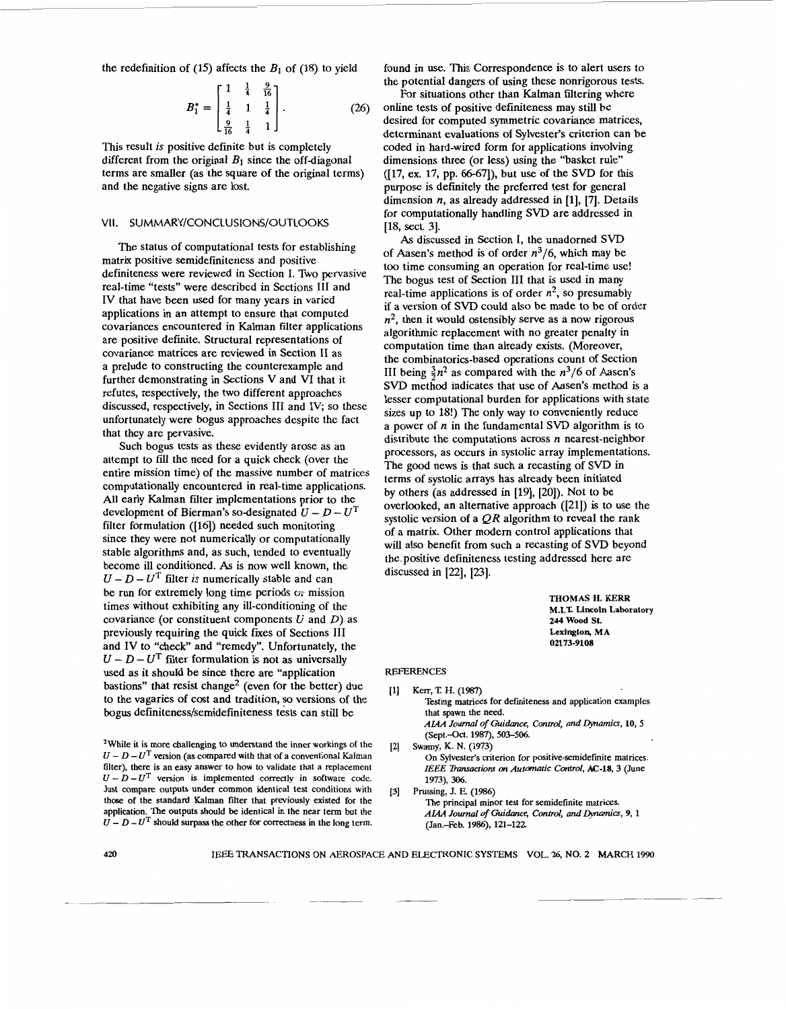the redefinition of  $(15)$  affects the  $B_1$  of  $(18)$  to yield

$$
B_1^* = \begin{bmatrix} 1 & \frac{1}{4} & \frac{9}{16} \\ \frac{1}{4} & 1 & \frac{1}{4} \\ \frac{9}{16} & \frac{1}{4} & 1 \end{bmatrix} . \tag{26}
$$

This result *is* positive definite but is completely different from the original  $B_1$  since the off-diagonal terms are smaller (as the square of the original terms) and the negative signs are lost.

# **VII. SUMMARY/CONCLUSIONS/OUTLOOKS**

The status of computational tests for establishing matrix positive semidefiniteness and positive definiteness were reviewed in Section I. Two pervasive real-time "tests" were described in Sections I11 and IV that have been used for many years in varied applications in an attempt to ensure that computed covariances encountered in Kalman filter applications are positive definite. Structural representations of covariance matrices are reviewed in Section I1 as a prelude to constructing the counterexample and further demonstrating in Sections V and VI that it refutes, respectively, the two different approaches discussed, respectively, in Sections I11 and IV, **so** these unfortunately were bogus approaches despite the fact that they are pervasive.

Such bogus tests as these evidently arose as an attempt to fill the need for a quick check (over the entire mission time) of the massive number of matrices computationally encountered in real-time applications. All early Kalman filter implementations prior to the development of Bierman's so-designated  $U - D - U^T$ filter formulation ([16]) needed such monitoring since they were not numerically or computationally stable algorithms and, as such, tended to eventually become ill conditioned. **As** is now well known, the  $U - D - U<sup>T</sup>$  filter *is* numerically stable and can be run for extremely long time periods  $\sigma$  mission times without exhibiting any ill-conditioning of the covariance (or constituent components  $U$  and  $D$ ) as previously requiring the quick fixes of Sections I11 and IV to "check" and "remedy". Unfortunately, the  $U - D - U<sup>T</sup>$  filter formulation is not as universally used as it should be since there are "application bastions" that resist change<sup>2</sup> (even for the better) due to the vagaries of cost and tradition, so versions of the bogus **definiteness/semidefiniteness** tests can still be

**2While it is more challenging to understand the inner workings of the**   $U - D - U<sup>T</sup>$  version (as compared with that of a conventional Kalman **filter), there is an easy answer to how to validate that a replacement**   $U - D - U<sup>T</sup>$  version is implemented correctly in software code. **Just compare outputs under common identical test conditions with those of the standard Kalman filter that previously existed for the application. The outputs should be identical in the near term but the**   $U - D - U<sup>T</sup>$  should surpass the other for correctness in the long term.

found in use. This Correspondence is to alert users to the potential dangers of using these nonrigorous tests.

For situations other than Kalman filtering where online tests of positive definiteness may still be desired for computed symmetric covariance matrices, determinant evaluations of Sylvester's criterion can be coded in hard-wired form for applications involving dimensions three (or less) using the "basket rule" ([17, ex. 17, pp. 66-67), but use of the **SVD** for this purpose is definitely the preferred test for general dimension *n*, as already addressed in [1], [7]. Details for computationally handling **SVD** are addressed in **[18,** sect. **31.** 

As discussed in Section I, the unadorned **SVD**  of Aasen's method is of order  $n^3/6$ , which may be too time consuming an operation for real-time use! The bogus test of Section III that is used in many real-time applications is of order  $n^2$ , so presumably if a version of **SVD** could also be made to be of order  $n^2$ , then it would ostensibly serve as a now rigorous algorithmic replacement with no greater penalty in computation time than already exists. (Moreover, the combinatorics-based operations count of Section III being  $\frac{3}{2}n^2$  as compared with the  $n^3/6$  of Aasen's **SVD** method indicates that use of Aasen's method is a lesser computational burden for applications with state sizes up to IS!) The only way to conveniently reduce a power of *n* in the fundamental SVD algorithm is to distribute the computations across *n* nearest-neighbor processors, as occurs in systolic array implementations. The good news is that such a recasting of SVD in terms of systolic arrays has already been initiated by others (as addressed in **[19],** [20]). Not to be overlooked, an alternative approach ([21]) is to use the systolic version of a *QR* algorithm to reveal the rank of a matrix. Other modem control applications that will also benefit from such a recasting of SVD beyond the. positive definiteness testing addressed here are discussed in [22], [23].

> **THOMAS H. KERR M.1.1: Lincoln Laboratory 244 Wood St. Lexington, MA 02173-9108**

> > $\overline{\phantom{a}}$

#### REFERENCES

- **(11 Kerr, T H. (1987)**  Testing matrices for definiteness and application examples **that spawn the need.**  AIAA Journal of Guidance, Control, and Dynamics, 10, 5 **(Sept.-Od. 1987),** *503-506.*  **On Sylvester's criterion for positive-semidefinite matrices.**  [Z] **Swamy, K.** N. **(1973)** 
	- *IEEE Transactkm on Automatic Control,* **AC-18, 3 (June 1973), 306.**
- **The principal minor test for semidefinite matrices.**  *AM Journal of Guidrmce, Control, and Qmamicc,* **9,l (Jan.-Feb. 1986), 121-122 [3] Prussing,** J. **E. (1986)**

**<sup>420</sup>**IEEE TRANSACTIONS ON AEROSPACE AND ELECTRONIC **SYSTEMS** VOL. 26, NO. **2** MARCH **1990**